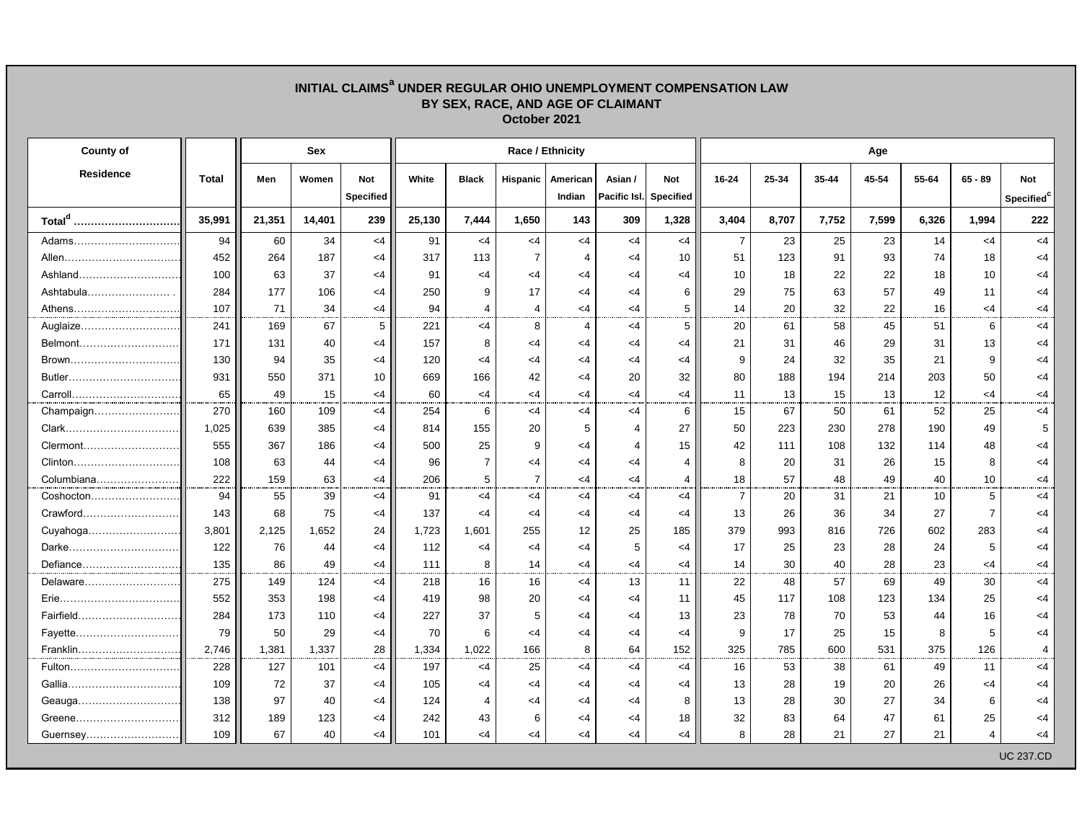| BY SEX, RACE, AND AGE OF CLAIMANT<br>October 2021 |              |            |        |            |                  |                |                |          |                |                  |                |       |           |       |       |                |                        |  |  |  |
|---------------------------------------------------|--------------|------------|--------|------------|------------------|----------------|----------------|----------|----------------|------------------|----------------|-------|-----------|-------|-------|----------------|------------------------|--|--|--|
| <b>County of</b>                                  |              | <b>Sex</b> |        |            | Race / Ethnicity |                |                |          |                |                  |                | Age   |           |       |       |                |                        |  |  |  |
| <b>Residence</b>                                  | <b>Total</b> | Men        | Women  | <b>Not</b> | White            | <b>Black</b>   | Hispanic       | American | Asian /        | <b>Not</b>       | $16 - 24$      | 25-34 | $35 - 44$ | 45-54 | 55-64 | $65 - 89$      | <b>Not</b>             |  |  |  |
|                                                   |              |            |        | Specified  |                  |                |                | Indian   | Pacific Isl.   | <b>Specified</b> |                |       |           |       |       |                | Specified <sup>c</sup> |  |  |  |
| Total <sup>d</sup>                                | 35,991       | 21,351     | 14,401 | 239        | 25,130           | 7,444          | 1,650          | 143      | 309            | 1,328            | 3,404          | 8,707 | 7,752     | 7,599 | 6,326 | 1,994          | 222                    |  |  |  |
| Adams                                             | 94           | 60         | 34     | $<$ 4      | 91               | $<$ 4          | $<$ 4          | $<$ 4    | <4             | $<$ 4            | $\overline{7}$ | 23    | 25        | 23    | 14    | $<$ 4          | $<$ 4                  |  |  |  |
| Allen                                             | 452          | 264        | 187    | <4         | 317              | 113            | $\overline{7}$ | 4        | $<$ 4          | 10               | 51             | 123   | 91        | 93    | 74    | 18             | $<$ 4                  |  |  |  |
| Ashland                                           | 100          | 63         | 37     | <4         | 91               | $<$ 4          | $<$ 4          | $<$ 4    | $<$ 4          | $<$ 4            | 10             | 18    | 22        | 22    | 18    | 10             | $<$ 4                  |  |  |  |
| Ashtabula                                         | 284          | 177        | 106    | <4         | 250              | 9              | 17             | $<$ 4    | $<$ 4          | 6                | 29             | 75    | 63        | 57    | 49    | 11             | <4                     |  |  |  |
| Athens                                            | 107          | 71         | 34     | <4         | 94               | 4              | $\overline{4}$ | $<$ 4    | $<$ 4          | 5                | 14             | 20    | 32        | 22    | 16    | $\leq$ 4       | <4                     |  |  |  |
| Auglaize                                          | 241          | 169        | 67     | 5          | 221              | $<$ 4          | 8              | 4        | $<$ 4          | 5                | 20             | 61    | 58        | 45    | 51    | 6              | <4                     |  |  |  |
| Belmont                                           | 171          | 131        | 40     | <4         | 157              | 8              | $<$ 4          | $<$ 4    | <4             | $<$ 4            | 21             | 31    | 46        | 29    | 31    | 13             | <4                     |  |  |  |
| Brown                                             | 130          | 94         | 35     | <4         | 120              | $<$ 4          | $<$ 4          | $<$ 4    | $<$ 4          | $<$ 4            | 9              | 24    | 32        | 35    | 21    | 9              | <4                     |  |  |  |
| Butler                                            | 931          | 550        | 371    | 10         | 669              | 166            | 42             | $<$ 4    | 20             | 32               | 80             | 188   | 194       | 214   | 203   | 50             | $<$ 4                  |  |  |  |
| Carroll                                           | 65           | 49         | 15     | <4         | 60               | $<$ 4          | $<$ 4          | $\leq 4$ | <4             | $\leq 4$         | 11             | 13    | 15        | 13    | 12    | $\leq$ 4       | $<$ 4                  |  |  |  |
| Champaign                                         | 270          | 160        | 109    | <4         | 254              | 6              | $<$ 4          | $<$ 4    | $<$ 4          | 6                | 15             | 67    | 50        | 61    | 52    | 25             | $<$ 4                  |  |  |  |
|                                                   | 1,025        | 639        | 385    | <4         | 814              | 155            | 20             | 5        | $\overline{4}$ | 27               | 50             | 223   | 230       | 278   | 190   | 49             | 5                      |  |  |  |
| Clermont                                          | 555          | 367        | 186    | <4         | 500              | 25             | 9              | $<$ 4    | $\overline{4}$ | 15               | 42             | 111   | 108       | 132   | 114   | 48             | $<$ 4                  |  |  |  |
| Clinton                                           | 108          | 63         | 44     | $<$ 4      | 96               | $\overline{7}$ | $<$ 4          | $<$ 4    | $<$ 4          | $\overline{4}$   | 8              | 20    | 31        | 26    | 15    | 8              | <4                     |  |  |  |
| Columbiana                                        | 222          | 159        | 63     | <4         | 206              | 5              | $\overline{7}$ | $<$ 4    | <4             | 4                | 18             | 57    | 48        | 49    | 40    | 10             | $<$ 4                  |  |  |  |
| Coshocton                                         | 94           | 55         | 39     | <4         | 91               | $<$ 4          | $<$ 4          | $<$ 4    | $<$ 4          | $<$ 4            | $\overline{7}$ | 20    | 31        | 21    | 10    | 5              | <4                     |  |  |  |
| Crawford                                          | 143          | 68         | 75     | <4         | 137              | $<$ 4          | <4             | $<$ 4    | <4             | $<$ 4            | 13             | 26    | 36        | 34    | 27    | $\overline{7}$ | <4                     |  |  |  |
| Cuyahoga                                          | 3,801        | 2,125      | 1,652  | 24         | 1,723            | 1,601          | 255            | 12       | 25             | 185              | 379            | 993   | 816       | 726   | 602   | 283            | <4                     |  |  |  |
| Darke                                             | 122          | 76         | 44     | $<$ 4      | 112              | $<$ 4          | $<$ 4          | $<$ 4    | 5              | $<$ 4            | 17             | 25    | 23        | 28    | 24    | 5              | $<$ 4                  |  |  |  |
| Defiance                                          | 135          | 86         | 49     | $<$ 4      | 111              | 8              | 14             | $<$ 4    | <4             | $<$ 4            | 14             | 30    | 40        | 28    | 23    | $<$ 4          | $<$ 4                  |  |  |  |
| Delaware                                          | 275          | 149        | 124    | <4         | 218              | 16             | 16             | $<$ 4    | 13             | 11               | 22             | 48    | 57        | 69    | 49    | 30             | $<$ 4                  |  |  |  |
|                                                   | 552          | 353        | 198    | <4         | 419              | 98             | 20             | $<$ 4    | $<$ 4          | 11               | 45             | 117   | 108       | 123   | 134   | 25             | <4                     |  |  |  |
| Fairfield                                         | 284          | 173        | 110    | <4         | 227              | 37             | 5              | $<$ 4    | $<$ 4          | 13               | 23             | 78    | 70        | 53    | 44    | 16             | $<$ 4                  |  |  |  |
| Fayette                                           | 79           | 50         | 29     | <4         | 70               | 6              | $<$ 4          | $<$ 4    | $<$ 4          | $<$ 4            | 9              | 17    | 25        | 15    | 8     | 5              | <4                     |  |  |  |
| Franklin                                          | 2,746        | 1,381      | 1,337  | 28         | 1,334            | 1,022          | 166            | 8        | 64             | 152              | 325            | 785   | 600       | 531   | 375   | 126            | $\overline{4}$         |  |  |  |
| Fulton                                            | 228          | 127        | 101    | <4         | 197              | $<$ 4          | 25             | $<$ 4    | $<$ 4          | $<$ 4            | 16             | 53    | 38        | 61    | 49    | 11             | <4                     |  |  |  |
|                                                   | 109          | 72         | 37     | <4         | 105              | $<$ 4          | <4             | $<$ 4    | <4             | $<$ 4            | 13             | 28    | 19        | 20    | 26    | $\leq$ 4       | <4                     |  |  |  |
| Geauga…………………………                                  | 138          | 97         | 40     | <4         | 124              | 4              | <4             | $\leq 4$ | <4             | 8                | 13             | 28    | 30        | 27    | 34    | 6              | <4                     |  |  |  |
| Greene                                            | 312          | 189        | 123    | $<$ 4      | 242              | 43             | 6              | $<$ 4    | <4             | 18               | 32             | 83    | 64        | 47    | 61    | 25             | <4                     |  |  |  |
| Guernsey                                          | 109          | 67         | 40     | $<$ 4      | 101              | $<$ 4          | $\leq$ 4       | $<$ 4    | $\leq 4$       | $<$ 4            | 8              | 28    | 21        | 27    | 21    | $\overline{4}$ | <4                     |  |  |  |
|                                                   |              |            |        |            |                  |                |                |          |                |                  |                |       |           |       |       |                | <b>UC 237.CD</b>       |  |  |  |

## **INITIAL CLAIMS<sup>a</sup> UNDER REGULAR OHIO UNEMPLOYMENT COMPENSATION LAW**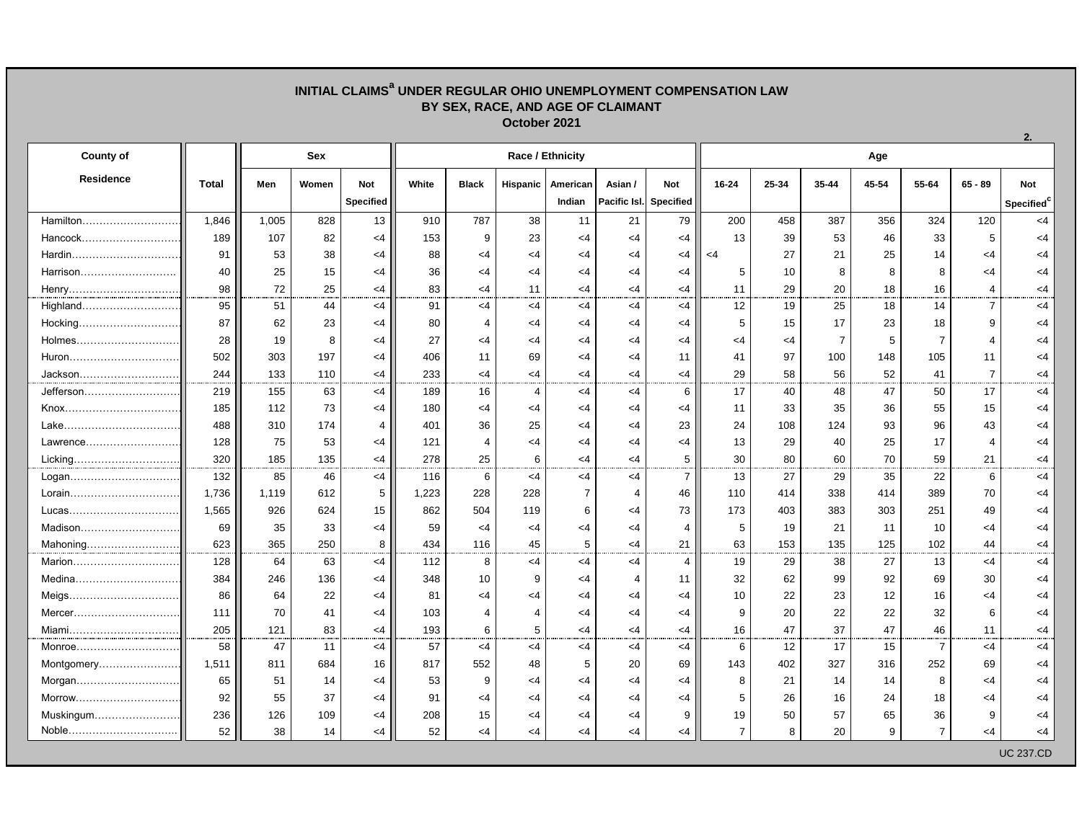## **INITIAL CLAIMS<sup>a</sup> UNDER REGULAR OHIO UNEMPLOYMENT COMPENSATION LAW BY SEX, RACE, AND AGE OF CLAIMANT October 2021**

| <b>County of</b> |       | <b>Sex</b> |       |           |       |                | Race / Ethnicity |                |                |                        | Age            |       |                |       |                |                |                        |  |  |
|------------------|-------|------------|-------|-----------|-------|----------------|------------------|----------------|----------------|------------------------|----------------|-------|----------------|-------|----------------|----------------|------------------------|--|--|
| <b>Residence</b> | Total | Men        | Women | Not       | White | <b>Black</b>   | Hispanic         | American       | Asian /        | Not                    | $16 - 24$      | 25-34 | 35-44          | 45-54 | 55-64          | $65 - 89$      | <b>Not</b>             |  |  |
|                  |       |            |       | Specified |       |                |                  | Indian         |                | Pacific Isl. Specified |                |       |                |       |                |                | Specified <sup>c</sup> |  |  |
| Hamilton         | 1,846 | 1,005      | 828   | 13        | 910   | 787            | 38               | 11             | 21             | 79                     | 200            | 458   | 387            | 356   | 324            | 120            | <4                     |  |  |
| Hancock          | 189   | 107        | 82    | $<$ 4     | 153   | 9              | 23               | $<$ 4          | $<$ 4          | $<$ 4                  | 13             | 39    | 53             | 46    | 33             | 5              | $<$ 4                  |  |  |
| Hardin           | 91    | 53         | 38    | $<$ 4     | 88    | $<$ 4          | $<$ 4            | $<$ 4          | $<$ 4          | $<$ 4                  | $<$ 4          | 27    | 21             | 25    | 14             | $<$ 4          | $<$ 4                  |  |  |
| Harrison         | 40    | 25         | 15    | $<$ 4     | 36    | $<$ 4          | <4               | $<$ 4          | <4             | $<$ 4                  | 5              | 10    | 8              | 8     | 8              | $<$ 4          | <4                     |  |  |
| Henry            | 98    | 72         | 25    | $<$ 4     | 83    | $<$ 4          | 11               | $<$ 4          | $<$ 4          | $<$ 4                  | 11             | 29    | 20             | 18    | 16             | 4              | $<$ 4                  |  |  |
| Highland         | 95    | 51         | 44    | $<$ 4     | 91    | $<$ 4          | <4               | $<$ 4          | $<$ 4          | $<$ 4                  | 12             | 19    | 25             | 18    | 14             | $\overline{7}$ | $<$ 4                  |  |  |
| Hocking          | 87    | 62         | 23    | $<$ 4     | 80    | $\overline{4}$ | <4               | $\leq$ 4       | $<$ 4          | $<$ 4                  | 5              | 15    | 17             | 23    | 18             | 9              | <4                     |  |  |
| Holmes           | 28    | 19         | 8     | $<$ 4     | 27    | $\leq 4$       | $<$ 4            | $<$ 4          | <4             | $<$ 4                  | $<$ 4          | $<$ 4 | $\overline{7}$ | 5     | $\overline{7}$ | $\overline{4}$ | $<$ 4                  |  |  |
| Huron            | 502   | 303        | 197   | $<$ 4     | 406   | 11             | 69               | $<$ 4          | <4             | 11                     | 41             | 97    | 100            | 148   | 105            | 11             | <4                     |  |  |
| Jackson          | 244   | 133        | 110   | $<$ 4     | 233   | $\leq 4$       | $<$ 4            | $\leq 4$       | $<$ 4          | $<$ 4                  | 29             | 58    | 56             | 52    | 41             | $\overline{7}$ | $\leq$ 4               |  |  |
| Jefferson        | 219   | 155        | 63    | $<$ 4     | 189   | 16             | $\overline{4}$   | $<$ 4          | $<$ 4          | 6                      | 17             | 40    | 48             | 47    | 50             | 17             | $<$ 4                  |  |  |
|                  | 185   | 112        | 73    | <4        | 180   | $<$ 4          | $<$ 4            | $<$ 4          | $<$ 4          | $<$ 4                  | 11             | 33    | 35             | 36    | 55             | 15             | $<$ 4                  |  |  |
| Lake             | 488   | 310        | 174   | 4         | 401   | 36             | 25               | $<$ 4          | <4             | 23                     | 24             | 108   | 124            | 93    | 96             | 43             | $<$ 4                  |  |  |
| Lawrence         | 128   | 75         | 53    | <4        | 121   | $\overline{4}$ | <4               | $<$ 4          | <4             | $<$ 4                  | 13             | 29    | 40             | 25    | 17             | 4              | <4                     |  |  |
| Licking          | 320   | 185        | 135   | $<$ 4     | 278   | 25             | 6                | $<$ 4          | $\leq 4$       | 5                      | 30             | 80    | 60             | 70    | 59             | 21             | <4                     |  |  |
| Logan            | 132   | 85         | 46    | $<$ 4     | 116   | 6              | <4               | $<$ 4          | <4             | $\overline{7}$         | 13             | 27    | 29             | 35    | 22             | 6              | <4                     |  |  |
| Lorain           | 1.736 | 1,119      | 612   | 5         | 1,223 | 228            | 228              | $\overline{7}$ | $\overline{4}$ | 46                     | 110            | 414   | 338            | 414   | 389            | 70             | $<$ 4                  |  |  |
| Lucas            | 1,565 | 926        | 624   | 15        | 862   | 504            | 119              | 6              | $<$ 4          | 73                     | 173            | 403   | 383            | 303   | 251            | 49             | <4                     |  |  |
| Madison          | 69    | 35         | 33    | <4        | 59    | $<$ 4          | $<$ 4            | $<$ 4          | <4             | $\overline{4}$         | 5              | 19    | 21             | 11    | 10             | $<$ 4          | $<$ 4                  |  |  |
| Mahoning         | 623   | 365        | 250   | 8         | 434   | 116            | 45               | 5              | $<$ 4          | 21                     | 63             | 153   | 135            | 125   | 102            | 44             | <4                     |  |  |
| Marion           | 128   | 64         | 63    | $<$ 4     | 112   | 8              | $<$ 4            | $<$ 4          | $<$ 4          | $\overline{4}$         | 19             | 29    | 38             | 27    | 13             | $<$ 4          | <4                     |  |  |
| Medina           | 384   | 246        | 136   | $<$ 4     | 348   | 10             | 9                | $<$ 4          | $\overline{4}$ | 11                     | 32             | 62    | 99             | 92    | 69             | 30             | $<$ 4                  |  |  |
| Meigs            | 86    | 64         | 22    | <4        | 81    | $<$ 4          | <4               | $<$ 4          | $\leq$ 4       | $<$ 4                  | 10             | 22    | 23             | 12    | 16             | $<$ 4          | <4                     |  |  |
| Mercer           | 111   | 70         | 41    | $<$ 4     | 103   | 4              | $\overline{4}$   | $<$ 4          | $<$ 4          | $<$ 4                  | 9              | 20    | 22             | 22    | 32             | 6              | $<$ 4                  |  |  |
| Miami            | 205   | 121        | 83    | $<$ 4     | 193   | 6              | 5                | $<$ 4          | $<$ 4          | $<$ 4                  | 16             | 47    | 37             | 47    | 46             | 11             | <4                     |  |  |
| Monroe           | 58    | 47         | 11    | <4        | 57    | $<$ 4          | $<$ 4            | $<$ 4          | <4             | $<$ 4                  | 6              | 12    | 17             | 15    | $\overline{7}$ | $<$ 4          | $<$ 4                  |  |  |
| Montgomery       | 1,511 | 811        | 684   | 16        | 817   | 552            | 48               | 5              | 20             | 69                     | 143            | 402   | 327            | 316   | 252            | 69             | <4                     |  |  |
| Morgan           | 65    | 51         | 14    | <4        | 53    | 9              | <4               | $\leq$ 4       | <4             | $<$ 4                  | 8              | 21    | 14             | 14    | 8              | $\leq$ 4       | <4                     |  |  |
| Morrow           | 92    | 55         | 37    | $<$ 4     | 91    | $\leq 4$       | $<$ 4            | $<$ 4          | $<$ 4          | $<$ 4                  | 5              | 26    | 16             | 24    | 18             | $<$ 4          | <4                     |  |  |
| Muskingum        | 236   | 126        | 109   | $\leq$ 4  | 208   | 15             | <4               | $\leq$ 4       | <4             | 9                      | 19             | 50    | 57             | 65    | 36             | 9              | <4                     |  |  |
| Noble            | 52    | 38         | 14    | $<$ 4     | 52    | $<$ 4          | $<$ 4            | $<$ 4          | <4             | $<$ 4                  | $\overline{7}$ | 8     | 20             | 9     | $\overline{7}$ | $\leq 4$       | <4                     |  |  |
|                  |       |            |       |           |       |                |                  |                |                |                        |                |       |                |       |                |                | <b>UC 237.CD</b>       |  |  |

**2.**